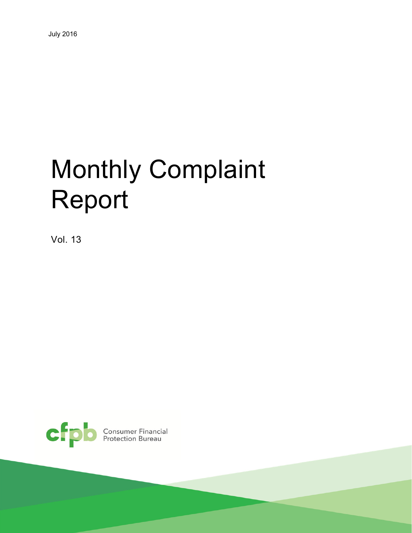# Monthly Complaint Report

Vol. 13

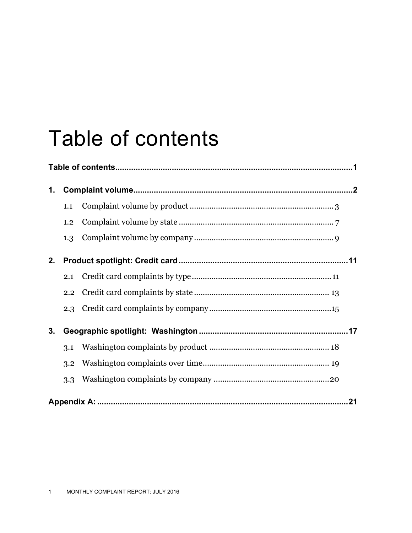# Table of contents

| 1. |     |  |  |  |  |  |  |  |  |  |
|----|-----|--|--|--|--|--|--|--|--|--|
|    | 1.1 |  |  |  |  |  |  |  |  |  |
|    | 1.2 |  |  |  |  |  |  |  |  |  |
|    | 1.3 |  |  |  |  |  |  |  |  |  |
| 2. |     |  |  |  |  |  |  |  |  |  |
|    | 2.1 |  |  |  |  |  |  |  |  |  |
|    | 2.2 |  |  |  |  |  |  |  |  |  |
|    | 2.3 |  |  |  |  |  |  |  |  |  |
| 3. |     |  |  |  |  |  |  |  |  |  |
|    | 3.1 |  |  |  |  |  |  |  |  |  |
|    | 3.2 |  |  |  |  |  |  |  |  |  |
|    | 3.3 |  |  |  |  |  |  |  |  |  |
|    |     |  |  |  |  |  |  |  |  |  |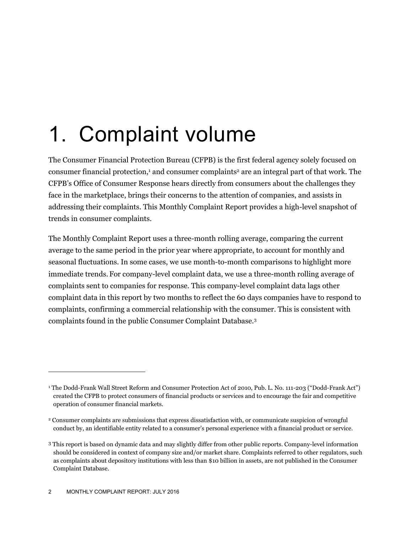# 1. Complaint volume

The Consumer Financial Protection Bureau (CFPB) is the first federal agency solely focused on consumer financial protection,<sup>1</sup> and consumer complaints<sup>2</sup> are an integral part of that work. The CFPB's Office of Consumer Response hears directly from consumers about the challenges they face in the marketplace, brings their concerns to the attention of companies, and assists in addressing their complaints. This Monthly Complaint Report provides a high-level snapshot of trends in consumer complaints.

The Monthly Complaint Report uses a three-month rolling average, comparing the current average to the same period in the prior year where appropriate, to account for monthly and seasonal fluctuations. In some cases, we use month-to-month comparisons to highlight more immediate trends. For company-level complaint data, we use a three-month rolling average of complaints sent to companies for response. This company-level complaint data lags other complaint data in this report by two months to reflect the 60 days companies have to respond to complaints, confirming a commercial relationship with the consumer. This is consistent with complaints found in the public Consumer Complaint Database.3

<sup>1</sup> The Dodd-Frank Wall Street Reform and Consumer Protection Act of 2010, Pub. L. No. 111-203 ("Dodd-Frank Act") created the CFPB to protect consumers of financial products or services and to encourage the fair and competitive operation of consumer financial markets.

<sup>2</sup> Consumer complaints are submissions that express dissatisfaction with, or communicate suspicion of wrongful conduct by, an identifiable entity related to a consumer's personal experience with a financial product or service.

<sup>3</sup> This report is based on dynamic data and may slightly differ from other public reports. Company-level information should be considered in context of company size and/or market share. Complaints referred to other regulators, such as complaints about depository institutions with less than \$10 billion in assets, are not published in the Consumer Complaint Database.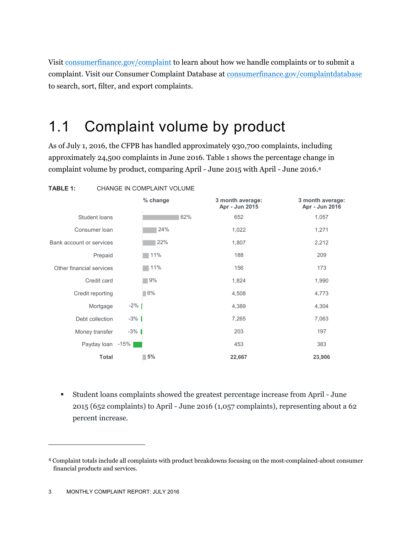Visit consumerfinance.gov/complaint to learn about how we handle complaints or to submit a complaint. Visit our Consumer Complaint Database at consumerfinance.gov/complaintdatabase to search, sort, filter, and export complaints.

### 1.1 Complaint volume by product

As of July 1, 2016, the CFPB has handled approximately 930,700 complaints, including approximately 24,500 complaints in June 2016. Table 1 shows the percentage change in complaint volume by product, comparing April - June 2015 with April - June 2016.4



 Student loans complaints showed the greatest percentage increase from April - June 2015 (652 complaints) to April - June 2016 (1,057 complaints), representing about a 62 percent increase.

<sup>4</sup> Complaint totals include all complaints with product breakdowns focusing on the most-complained-about consumer financial products and services.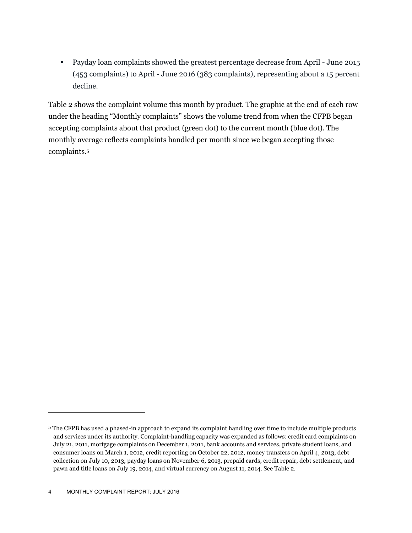Payday loan complaints showed the greatest percentage decrease from April - June 2015 (453 complaints) to April - June 2016 (383 complaints), representing about a 15 percent decline.

Table 2 shows the complaint volume this month by product. The graphic at the end of each row under the heading "Monthly complaints" shows the volume trend from when the CFPB began accepting complaints about that product (green dot) to the current month (blue dot). The monthly average reflects complaints handled per month since we began accepting those complaints.5

<sup>5</sup> The CFPB has used a phased-in approach to expand its complaint handling over time to include multiple products and services under its authority. Complaint-handling capacity was expanded as follows: credit card complaints on July 21, 2011, mortgage complaints on December 1, 2011, bank accounts and services, private student loans, and consumer loans on March 1, 2012, credit reporting on October 22, 2012, money transfers on April 4, 2013, debt collection on July 10, 2013, payday loans on November 6, 2013, prepaid cards, credit repair, debt settlement, and pawn and title loans on July 19, 2014, and virtual currency on August 11, 2014. See Table 2.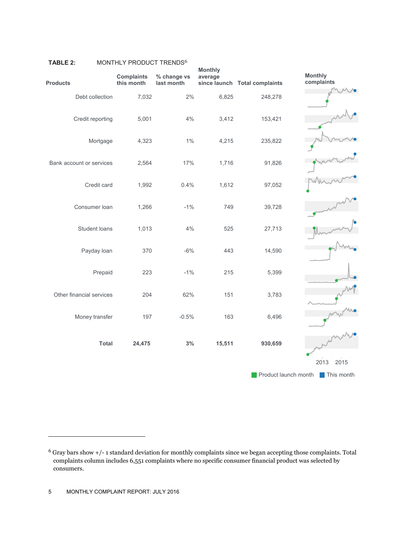| <b>Products</b>          | <b>Complaints</b><br>this month | % change vs<br>last month | <b>Monthly</b><br>average | since launch Total complaints | <b>Monthly</b><br>complaints       |
|--------------------------|---------------------------------|---------------------------|---------------------------|-------------------------------|------------------------------------|
| Debt collection          | 7,032                           | 2%                        | 6,825                     | 248,278                       |                                    |
| Credit reporting         | 5,001                           | 4%                        | 3,412                     | 153,421                       |                                    |
| Mortgage                 | 4,323                           | $1\%$                     | 4,215                     | 235,822                       |                                    |
| Bank account or services | 2,564                           | 17%                       | 1,716                     | 91,826                        |                                    |
| Credit card              | 1,992                           | 0.4%                      | 1,612                     | 97,052                        |                                    |
| Consumer loan            | 1,266                           | $-1\%$                    | 749                       | 39,728                        |                                    |
| Student loans            | 1,013                           | 4%                        | 525                       | 27,713                        |                                    |
| Payday loan              | 370                             | $-6%$                     | 443                       | 14,590                        |                                    |
| Prepaid                  | 223                             | $-1%$                     | 215                       | 5,399                         |                                    |
| Other financial services | 204                             | 62%                       | 151                       | 3,783                         |                                    |
| Money transfer           | 197                             | $-0.5%$                   | 163                       | 6,496                         |                                    |
| <b>Total</b>             | 24,475                          | 3%                        | 15,511                    | 930,659                       |                                    |
|                          |                                 |                           |                           |                               | 2013<br>2015                       |
|                          |                                 |                           |                           |                               | Product launch month<br>This month |

#### TABLE 2: MONTHLY PRODUCT TRENDS<sup>6</sup>

 $\overline{a}$ 

<sup>6</sup> Gray bars show +/- 1 standard deviation for monthly complaints since we began accepting those complaints. Total complaints column includes 6,551 complaints where no specific consumer financial product was selected by consumers.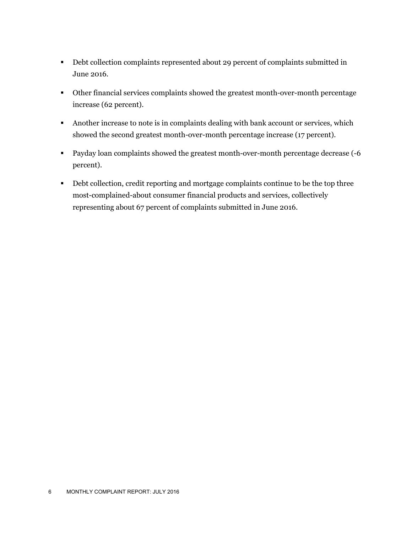- Debt collection complaints represented about 29 percent of complaints submitted in June 2016.
- Other financial services complaints showed the greatest month-over-month percentage increase (62 percent).
- Another increase to note is in complaints dealing with bank account or services, which showed the second greatest month-over-month percentage increase (17 percent).
- Payday loan complaints showed the greatest month-over-month percentage decrease (-6 percent).
- Debt collection, credit reporting and mortgage complaints continue to be the top three most-complained-about consumer financial products and services, collectively representing about 67 percent of complaints submitted in June 2016.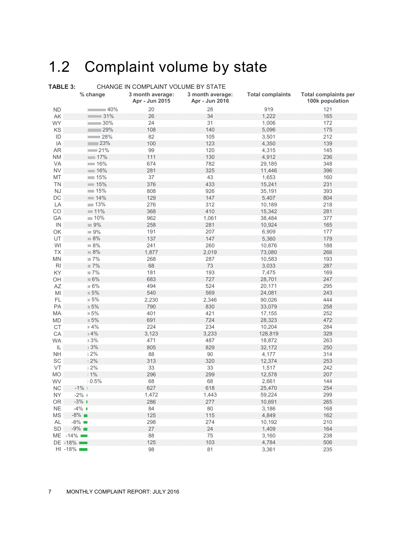## 1.2 Complaint volume by state

| TABLE 3:       |                       | CHANGE IN COMPLAINT VOLUME BY STATE |                                    |                         |                                                |  |  |  |  |  |  |  |
|----------------|-----------------------|-------------------------------------|------------------------------------|-------------------------|------------------------------------------------|--|--|--|--|--|--|--|
|                | % change              | 3 month average:<br>Apr - Jun 2015  | 3 month average:<br>Apr - Jun 2016 | <b>Total complaints</b> | <b>Total complaints per</b><br>100k population |  |  |  |  |  |  |  |
| <b>ND</b>      | ■40%                  | 20                                  | 28                                 | 919                     | 121                                            |  |  |  |  |  |  |  |
| AK             | 31%                   | 26                                  | 34                                 | 1,222                   | 165                                            |  |  |  |  |  |  |  |
| <b>WY</b>      | 30%                   | 24                                  | 31                                 | 1,006                   | 172                                            |  |  |  |  |  |  |  |
| KS             | 129%                  | 108                                 | 140                                | 5,096                   | 175                                            |  |  |  |  |  |  |  |
| ID             | $-28%$                | 82                                  | 105                                | 3,501                   | 212                                            |  |  |  |  |  |  |  |
| IA             | 23%                   | 100                                 | 123                                | 4,350                   | 139                                            |  |  |  |  |  |  |  |
| <b>AR</b>      | $-21%$                | 99                                  | 120                                | 4,315                   | 145                                            |  |  |  |  |  |  |  |
| <b>NM</b>      | 17%                   | 111                                 | 130                                | 4,912                   | 236                                            |  |  |  |  |  |  |  |
| <b>VA</b>      | $-16%$                | 674                                 | 782                                | 29,185                  | 348                                            |  |  |  |  |  |  |  |
| <b>NV</b>      | $-16%$                | 281                                 | 325                                | 11,446                  | 396                                            |  |  |  |  |  |  |  |
| MT             | $-15%$                | 37                                  | 43                                 | 1,653                   | 160                                            |  |  |  |  |  |  |  |
| TN             | $\blacksquare$ 15%    | 376                                 | 433                                | 15,241                  | 231                                            |  |  |  |  |  |  |  |
| <b>NJ</b>      | $-15%$                | 808                                 | 926                                | 35,191                  | 393                                            |  |  |  |  |  |  |  |
| DC             | $\blacksquare$ 14%    | 129                                 | 147                                | 5,407                   | 804                                            |  |  |  |  |  |  |  |
| LA             | $-13%$                | 276                                 | 312                                | 10,189                  | 218                                            |  |  |  |  |  |  |  |
| $_{\rm CO}$    | $11\%$                | 368                                 | 410                                | 15,342                  | 281                                            |  |  |  |  |  |  |  |
| GA             | 10%                   | 962                                 | 1,061                              | 38,484                  | 377                                            |  |  |  |  |  |  |  |
| $\mathsf{IN}$  | $\blacksquare$ 9%     | 258                                 | 281                                | 10,924                  | 165                                            |  |  |  |  |  |  |  |
| OK             | $\blacksquare$ 9%     | 191                                 | 207                                | 6,909                   | 177                                            |  |  |  |  |  |  |  |
| UT             | 8%                    | 137                                 | 147                                | 5,360                   | 179                                            |  |  |  |  |  |  |  |
| WI             | 8%                    | 241                                 | 260                                | 10,876                  | 188                                            |  |  |  |  |  |  |  |
| <b>TX</b>      | 8%                    | 1,877                               | 2,019                              | 73,080                  | 266                                            |  |  |  |  |  |  |  |
| MN             | $\blacksquare$ 7%     | 268                                 | 287                                | 10,583                  | 193                                            |  |  |  |  |  |  |  |
| R <sub>l</sub> | $\blacksquare$ 7%     | 68                                  | $73\,$                             | 3,033                   | 287                                            |  |  |  |  |  |  |  |
| <b>KY</b>      | $\blacksquare$ 7%     | 181                                 | 193                                | 7,475                   | 169                                            |  |  |  |  |  |  |  |
| OH             | $\blacksquare 6\%$    | 683                                 | 727                                | 28,701                  | 247                                            |  |  |  |  |  |  |  |
| AZ             | $\blacksquare 6\%$    | 494                                 | 524                                | 20,171                  | 295                                            |  |  |  |  |  |  |  |
| MI             | $\mathbb{I} 5\%$      | 540                                 | 569                                | 24,081                  | 243                                            |  |  |  |  |  |  |  |
| FL.            | $5\%$                 | 2,230                               | 2,346                              | 90,026                  | 444                                            |  |  |  |  |  |  |  |
| PA             | $\blacksquare$ 5%     | 790                                 | 830                                | 33,079                  | 258                                            |  |  |  |  |  |  |  |
| MA             | $\blacksquare$ 5%     | 401                                 | 421                                | 17,155                  | 252                                            |  |  |  |  |  |  |  |
| <b>MD</b>      | $\blacksquare$ 5%     | 691                                 | 724                                | 28,323                  | 472                                            |  |  |  |  |  |  |  |
| CT             | $4\%$                 | 224                                 | 234                                | 10,204                  | 284                                            |  |  |  |  |  |  |  |
| CA             | $\mathbb{I}$ 4%       | 3,123                               | 3,233                              | 128,819                 | 329                                            |  |  |  |  |  |  |  |
| <b>WA</b>      | 3%                    | 471                                 | 487                                | 18,872                  | 263                                            |  |  |  |  |  |  |  |
| IL             | $\,$ 3%               | 805                                 | 829                                | 32,172                  | 250                                            |  |  |  |  |  |  |  |
| <b>NH</b>      | 12%                   | 88                                  | $90\,$                             | 4,177                   | 314                                            |  |  |  |  |  |  |  |
| SC             | 12%                   | 313                                 | 320                                | 12,374                  | 253                                            |  |  |  |  |  |  |  |
| VT             | 12%                   | 33                                  | 33                                 | 1,517                   | 242                                            |  |  |  |  |  |  |  |
| <b>MO</b>      | 11%                   | 296                                 | 299                                | 12,578                  | 207                                            |  |  |  |  |  |  |  |
| WV             | 0.5%                  | 68                                  | 68                                 | 2,661                   | 144                                            |  |  |  |  |  |  |  |
| NC             | $-1\%$ 1              | 627                                 | 618                                | 25,470                  | 254                                            |  |  |  |  |  |  |  |
| NY.            | $-2\%$ 1              | 1,472                               | 1,443                              | 59,224                  | 299                                            |  |  |  |  |  |  |  |
| <b>OR</b>      | $-3\%$ $\blacksquare$ | 286                                 | 277                                | 10,691                  | 265                                            |  |  |  |  |  |  |  |
| <b>NE</b>      | $-4\%$                | 84                                  | 80                                 | 3,186                   | 168                                            |  |  |  |  |  |  |  |
| MS             | $-8\%$                | 125                                 | 115                                | 4,849                   | 162                                            |  |  |  |  |  |  |  |
| AL             | $-8\%$                | 298                                 | 274                                | 10,192                  | 210                                            |  |  |  |  |  |  |  |
| SD             | $-9\%$                | 27                                  | 24                                 | 1,409                   | 164                                            |  |  |  |  |  |  |  |
|                | ME -14%               | 88                                  | 75                                 | 3,160                   | 238                                            |  |  |  |  |  |  |  |
|                | DE -18%               | 125                                 | 103                                | 4,784                   | 506                                            |  |  |  |  |  |  |  |
|                | $HI -18\%$            | 98                                  | 81                                 | 3,361                   | 235                                            |  |  |  |  |  |  |  |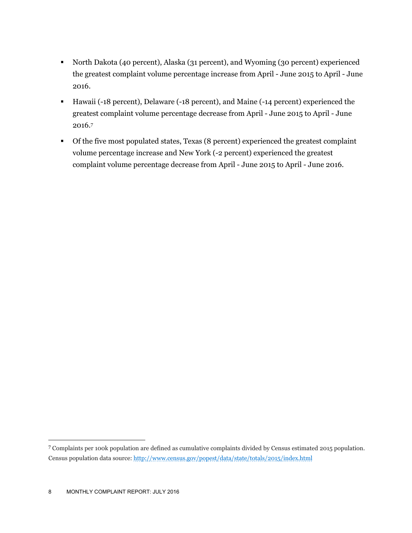- North Dakota (40 percent), Alaska (31 percent), and Wyoming (30 percent) experienced the greatest complaint volume percentage increase from April - June 2015 to April - June 2016.
- Hawaii (-18 percent), Delaware (-18 percent), and Maine (-14 percent) experienced the greatest complaint volume percentage decrease from April - June 2015 to April - June 2016.7
- Of the five most populated states, Texas (8 percent) experienced the greatest complaint volume percentage increase and New York (-2 percent) experienced the greatest complaint volume percentage decrease from April - June 2015 to April - June 2016.

<u>.</u>

<sup>7</sup> Complaints per 100k population are defined as cumulative complaints divided by Census estimated 2015 population. Census population data source: http://www.census.gov/popest/data/state/totals/2015/index.html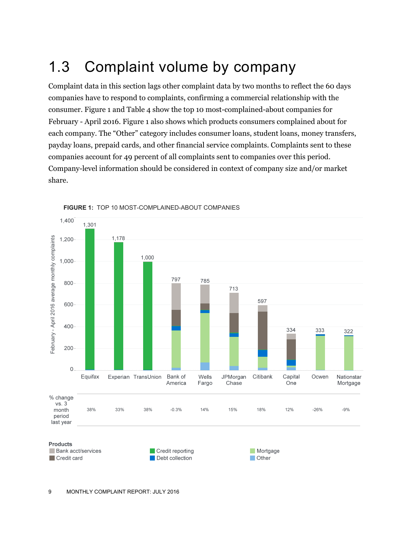## 1.3 Complaint volume by company

Complaint data in this section lags other complaint data by two months to reflect the 60 days companies have to respond to complaints, confirming a commercial relationship with the consumer. Figure 1 and Table 4 show the top 10 most-complained-about companies for February - April 2016. Figure 1 also shows which products consumers complained about for each company. The "Other" category includes consumer loans, student loans, money transfers, payday loans, prepaid cards, and other financial service complaints. Complaints sent to these companies account for 49 percent of all complaints sent to companies over this period. Company-level information should be considered in context of company size and/or market share.



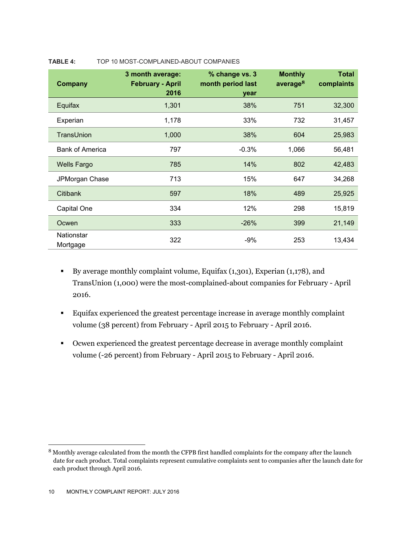| <b>Company</b>         | 3 month average:<br><b>February - April</b><br>2016 | % change vs. 3<br>month period last<br>year | <b>Monthly</b><br>average $8$ | <b>Total</b><br>complaints |
|------------------------|-----------------------------------------------------|---------------------------------------------|-------------------------------|----------------------------|
| Equifax                | 1,301                                               | 38%                                         | 751                           | 32,300                     |
| Experian               | 1,178                                               | 33%                                         | 732                           | 31,457                     |
| TransUnion             | 1,000                                               | 38%                                         | 604                           | 25,983                     |
| <b>Bank of America</b> | 797                                                 | $-0.3%$                                     | 1,066                         | 56,481                     |
| <b>Wells Fargo</b>     | 785                                                 | 14%                                         | 802                           | 42,483                     |
| JPMorgan Chase         | 713                                                 | 15%                                         | 647                           | 34,268                     |
| Citibank               | 597                                                 | 18%                                         | 489                           | 25,925                     |
| Capital One            | 334                                                 | 12%                                         | 298                           | 15,819                     |
| Ocwen                  | 333                                                 | $-26%$                                      | 399                           | 21,149                     |
| Nationstar<br>Mortgage | 322                                                 | $-9%$                                       | 253                           | 13,434                     |

#### **TABLE 4:** TOP 10 MOST-COMPLAINED-ABOUT COMPANIES

- By average monthly complaint volume, Equifax (1,301), Experian (1,178), and TransUnion (1,000) were the most-complained-about companies for February - April 2016.
- Equifax experienced the greatest percentage increase in average monthly complaint volume (38 percent) from February - April 2015 to February - April 2016.
- Ocwen experienced the greatest percentage decrease in average monthly complaint volume (-26 percent) from February - April 2015 to February - April 2016.

<sup>8</sup> Monthly average calculated from the month the CFPB first handled complaints for the company after the launch date for each product. Total complaints represent cumulative complaints sent to companies after the launch date for each product through April 2016.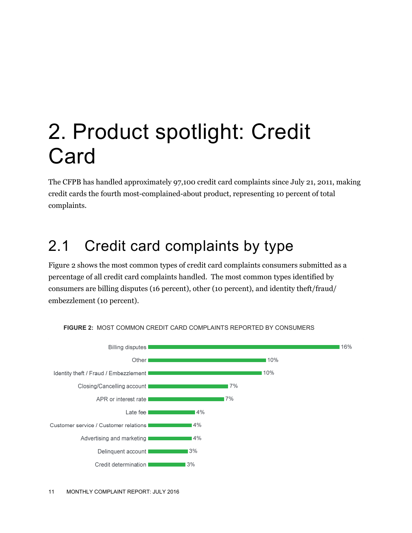# 2. Product spotlight: Credit **Card**

The CFPB has handled approximately 97,100 credit card complaints since July 21, 2011, making credit cards the fourth most-complained-about product, representing 10 percent of total complaints.

### 2.1 Credit card complaints by type

Figure 2 shows the most common types of credit card complaints consumers submitted as a percentage of all credit card complaints handled. The most common types identified by consumers are billing disputes (16 percent), other (10 percent), and identity theft/fraud/ embezzlement (10 percent).



**FIGURE 2:** MOST COMMON CREDIT CARD COMPLAINTS REPORTED BY CONSUMERS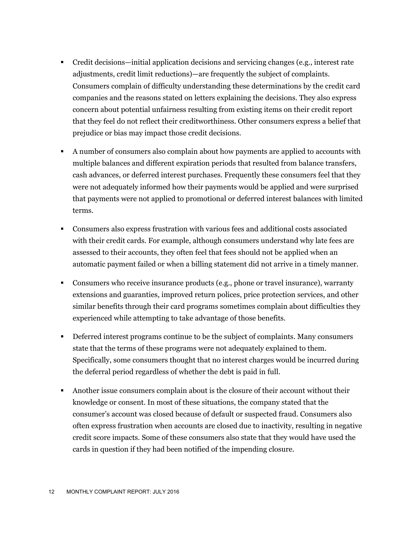- Credit decisions—initial application decisions and servicing changes (e.g., interest rate adjustments, credit limit reductions)—are frequently the subject of complaints. Consumers complain of difficulty understanding these determinations by the credit card companies and the reasons stated on letters explaining the decisions. They also express concern about potential unfairness resulting from existing items on their credit report that they feel do not reflect their creditworthiness. Other consumers express a belief that prejudice or bias may impact those credit decisions.
- A number of consumers also complain about how payments are applied to accounts with multiple balances and different expiration periods that resulted from balance transfers, cash advances, or deferred interest purchases. Frequently these consumers feel that they were not adequately informed how their payments would be applied and were surprised that payments were not applied to promotional or deferred interest balances with limited terms.
- Consumers also express frustration with various fees and additional costs associated with their credit cards. For example, although consumers understand why late fees are assessed to their accounts, they often feel that fees should not be applied when an automatic payment failed or when a billing statement did not arrive in a timely manner.
- Consumers who receive insurance products (e.g., phone or travel insurance), warranty extensions and guaranties, improved return polices, price protection services, and other similar benefits through their card programs sometimes complain about difficulties they experienced while attempting to take advantage of those benefits.
- Deferred interest programs continue to be the subject of complaints. Many consumers state that the terms of these programs were not adequately explained to them. Specifically, some consumers thought that no interest charges would be incurred during the deferral period regardless of whether the debt is paid in full.
- Another issue consumers complain about is the closure of their account without their knowledge or consent. In most of these situations, the company stated that the consumer's account was closed because of default or suspected fraud. Consumers also often express frustration when accounts are closed due to inactivity, resulting in negative credit score impacts. Some of these consumers also state that they would have used the cards in question if they had been notified of the impending closure.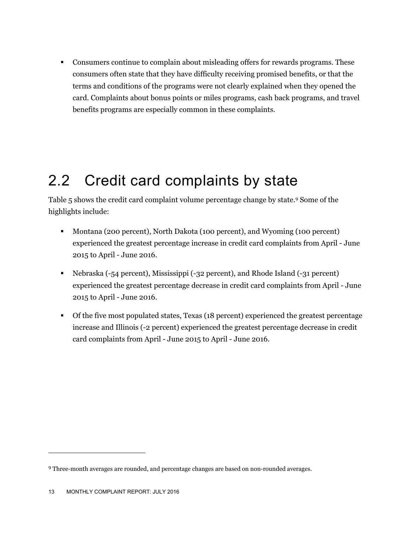Consumers continue to complain about misleading offers for rewards programs. These consumers often state that they have difficulty receiving promised benefits, or that the terms and conditions of the programs were not clearly explained when they opened the card. Complaints about bonus points or miles programs, cash back programs, and travel benefits programs are especially common in these complaints.

### 2.2 Credit card complaints by state

Table 5 shows the credit card complaint volume percentage change by state.9 Some of the highlights include:

- Montana (200 percent), North Dakota (100 percent), and Wyoming (100 percent) experienced the greatest percentage increase in credit card complaints from April - June 2015 to April - June 2016.
- Nebraska (-54 percent), Mississippi (-32 percent), and Rhode Island (-31 percent) experienced the greatest percentage decrease in credit card complaints from April - June 2015 to April - June 2016.
- Of the five most populated states, Texas (18 percent) experienced the greatest percentage increase and Illinois (-2 percent) experienced the greatest percentage decrease in credit card complaints from April - June 2015 to April - June 2016.

<sup>9</sup> Three-month averages are rounded, and percentage changes are based on non-rounded averages.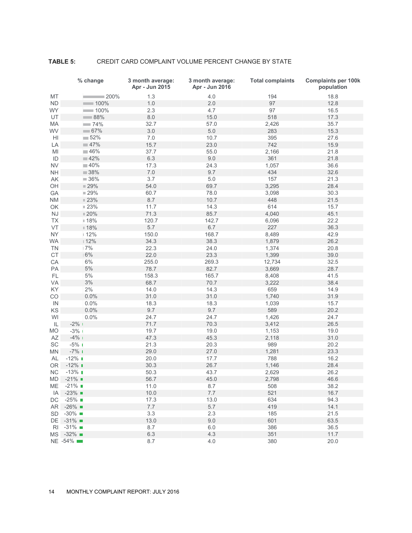#### **TABLE 5:** CREDIT CARD COMPLAINT VOLUME PERCENT CHANGE BY STATE

|                 | % change                       | 3 month average:<br>Apr - Jun 2015 | 3 month average:<br>Apr - Jun 2016 | <b>Total complaints</b> | <b>Complaints per 100k</b><br>population |
|-----------------|--------------------------------|------------------------------------|------------------------------------|-------------------------|------------------------------------------|
| MT              | $= 200\%$                      | 1.3                                | 4.0                                | 194                     | 18.8                                     |
| <b>ND</b>       | $\sim$ 100%                    | 1.0                                | 2.0                                | 97                      | 12.8                                     |
| <b>WY</b>       | 100%                           | 2.3                                | 4.7                                | 97                      | 16.5                                     |
| UT              | $\sim 88%$                     | $8.0\,$                            | 15.0                               | 518                     | 17.3                                     |
| MA              | $-74%$                         | 32.7                               | 57.0                               | 2,426                   | 35.7                                     |
| WV              | $-67%$                         | 3.0                                | $5.0$                              | 283                     | 15.3                                     |
| H <sub>1</sub>  | $-52%$                         | 7.0                                | 10.7                               | 395                     | 27.6                                     |
| LA              | $= 47%$                        | 15.7                               | 23.0                               | 742                     | 15.9                                     |
| MI              | $-46%$                         | 37.7                               | 55.0                               | 2,166                   | 21.8                                     |
| ID              | $\blacksquare$ 42%             | 6.3                                | 9.0                                | 361                     | 21.8                                     |
| <b>NV</b>       | $-40%$                         | 17.3                               | 24.3                               | 1,057                   | 36.6                                     |
| $\mathsf{NH}\,$ | $\blacksquare$ 38%             | $7.0$                              | 9.7                                | 434                     | 32.6                                     |
| AK              | 36%                            | 3.7                                | 5.0                                | 157                     | 21.3                                     |
| OH              | 29%                            | 54.0                               | 69.7                               | 3,295                   | 28.4                                     |
| GA              | 29%                            | 60.7                               | 78.0                               | 3,098                   | 30.3                                     |
| <b>NM</b>       | 23%                            | 8.7                                | 10.7                               | 448                     | 21.5                                     |
|                 |                                | 11.7                               |                                    |                         |                                          |
| OK              | ■ 23%                          | 71.3                               | 14.3                               | 614                     | 15.7                                     |
| NJ              | $\scriptstyle\blacksquare$ 20% |                                    | 85.7                               | 4,040                   | 45.1                                     |
| <b>TX</b>       | ■ 18%                          | 120.7                              | 142.7                              | 6,096                   | 22.2                                     |
| VT              | ■ 18%                          | 5.7                                | 6.7                                | 227                     | 36.3                                     |
| <b>NY</b>       | 12%                            | 150.0                              | 168.7                              | 8,489                   | 42.9                                     |
| <b>WA</b>       | 12%                            | 34.3                               | 38.3                               | 1,879                   | 26.2                                     |
| <b>TN</b>       | 17%                            | 22.3                               | 24.0                               | 1,374                   | 20.8                                     |
| <b>CT</b>       | 16%                            | 22.0                               | 23.3                               | 1,399                   | 39.0                                     |
| CA              | 6%                             | 255.0                              | 269.3                              | 12,734                  | 32.5                                     |
| PA              | 5%                             | 78.7                               | 82.7                               | 3,669                   | 28.7                                     |
| FL.             | 5%                             | 158.3                              | 165.7                              | 8,408                   | 41.5                                     |
| VA              | 3%                             | 68.7                               | 70.7                               | 3,222                   | 38.4                                     |
| KY              | 2%                             | 14.0                               | 14.3                               | 659                     | 14.9                                     |
| CO              | $10.0\%$                       | 31.0                               | 31.0                               | 1,740                   | 31.9                                     |
| IN              | 10.0%                          | 18.3                               | 18.3                               | 1,039                   | 15.7                                     |
| KS              | 10.0%                          | 9.7                                | 9.7                                | 589                     | 20.2                                     |
| WI              | 10.0%                          | 24.7                               | 24.7                               | 1,426                   | 24.7                                     |
| IL              | $-2\%$ 1                       | 71.7                               | 70.3                               | 3,412                   | 26.5                                     |
| <b>MO</b>       | $-3%1$                         | 19.7                               | 19.0                               | 1,153                   | 19.0                                     |
| AZ              | $-4\%$                         | 47.3                               | 45.3                               | 2,118                   | 31.0                                     |
| SC              | $-5%1$                         | 21.3                               | 20.3                               | 989                     | 20.2                                     |
| <b>MN</b>       | $-7%1$                         | 29.0                               | 27.0                               | 1,281                   | 23.3                                     |
| AL              | $-12\%$                        | 20.0                               | 17.7                               | 788                     | 16.2                                     |
| <b>OR</b>       | $-12\%$ $\blacksquare$         | 30.3                               | 26.7                               | 1,146                   | 28.4                                     |
| <b>NC</b>       | $-13\%$                        | 50.3                               | 43.7                               | 2,629                   | 26.2                                     |
| MD.             | $-21\%$                        | 56.7                               | 45.0                               | 2,798                   | 46.6                                     |
| МE              | $-21\%$                        | 11.0                               | 8.7                                | 508                     | 38.2                                     |
| IA              | $-23\%$                        | 10.0                               | $7.7\,$                            | 521                     | 16.7                                     |
| DC              | $-25\%$                        | 17.3                               | 13.0                               | 634                     | 94.3                                     |
| AR I            | $-26\%$ $\blacksquare$         | 7.7                                | 5.7                                | 419                     | 14.1                                     |
| SD              | $-30\%$                        | 3.3                                | 2.3                                | 185                     | 21.5                                     |
| DE.             | $-31\%$ $\blacksquare$         | 13.0                               | 9.0                                | 601                     | 63.5                                     |
| RI              | $-31\%$ $\blacksquare$         | 8.7                                | 6.0                                | 386                     | 36.5                                     |
| MS I            | $-32\%$                        | 6.3                                | 4.3                                | 351                     | 11.7                                     |
|                 | NE -54%                        | 8.7                                | 4.0                                | 380                     | 20.0                                     |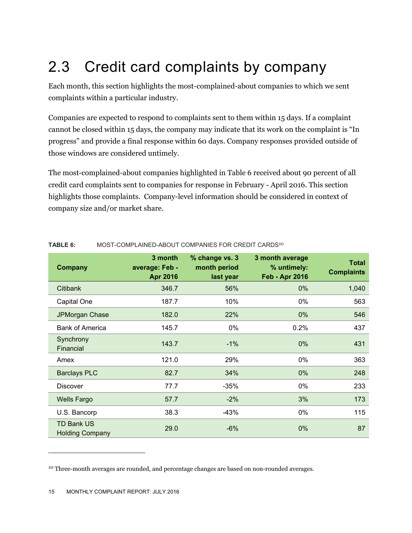## 2.3 Credit card complaints by company

Each month, this section highlights the most-complained-about companies to which we sent complaints within a particular industry.

Companies are expected to respond to complaints sent to them within 15 days. If a complaint cannot be closed within 15 days, the company may indicate that its work on the complaint is "In progress" and provide a final response within 60 days. Company responses provided outside of those windows are considered untimely.

The most-complained-about companies highlighted in Table 6 received about 90 percent of all credit card complaints sent to companies for response in February - April 2016. This section highlights those complaints. Company-level information should be considered in context of company size and/or market share.

| Company                                     | 3 month<br>average: Feb -<br>Apr 2016 | % change vs. 3<br>month period<br>last year | 3 month average<br>% untimely:<br><b>Feb - Apr 2016</b> | <b>Total</b><br><b>Complaints</b> |
|---------------------------------------------|---------------------------------------|---------------------------------------------|---------------------------------------------------------|-----------------------------------|
| Citibank                                    | 346.7                                 | 56%                                         | $0\%$                                                   | 1,040                             |
| Capital One                                 | 187.7                                 | 10%                                         | 0%                                                      | 563                               |
| JPMorgan Chase                              | 182.0                                 | 22%                                         | $0\%$                                                   | 546                               |
| <b>Bank of America</b>                      | 145.7                                 | 0%                                          | 0.2%                                                    | 437                               |
| Synchrony<br>Financial                      | 143.7                                 | $-1\%$                                      | $0\%$                                                   | 431                               |
| Amex                                        | 121.0                                 | 29%                                         | 0%                                                      | 363                               |
| <b>Barclays PLC</b>                         | 82.7                                  | 34%                                         | 0%                                                      | 248                               |
| <b>Discover</b>                             | 77.7                                  | $-35%$                                      | 0%                                                      | 233                               |
| <b>Wells Fargo</b>                          | 57.7                                  | $-2\%$                                      | 3%                                                      | 173                               |
| U.S. Bancorp                                | 38.3                                  | -43%                                        | 0%                                                      | 115                               |
| <b>TD Bank US</b><br><b>Holding Company</b> | 29.0                                  | $-6%$                                       | $0\%$                                                   | 87                                |

#### **TABLE 6:** MOST-COMPLAINED-ABOUT COMPANIES FOR CREDIT CARDS<sup>10</sup>

 $\overline{a}$ 

<sup>&</sup>lt;sup>10</sup> Three-month averages are rounded, and percentage changes are based on non-rounded averages.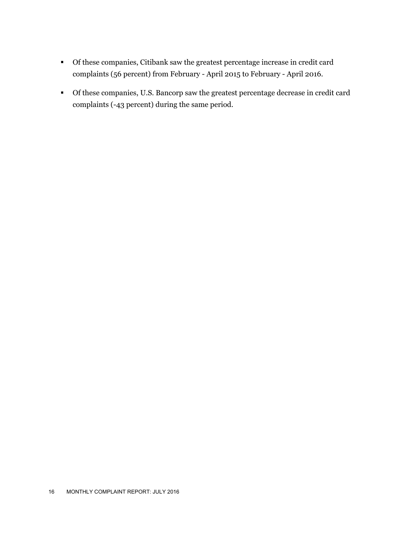- Of these companies, Citibank saw the greatest percentage increase in credit card complaints (56 percent) from February - April 2015 to February - April 2016.
- Of these companies, U.S. Bancorp saw the greatest percentage decrease in credit card complaints (-43 percent) during the same period.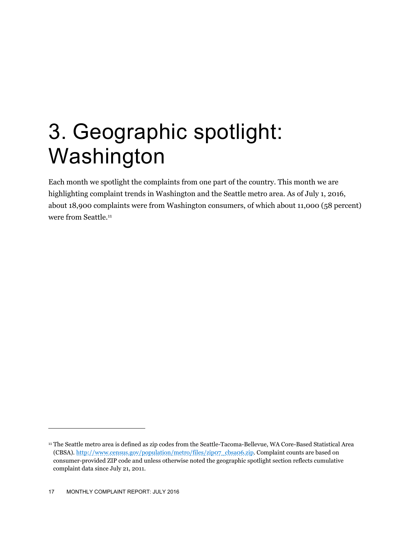# 3. Geographic spotlight: Washington

Each month we spotlight the complaints from one part of the country. This month we are highlighting complaint trends in Washington and the Seattle metro area. As of July 1, 2016, about 18,900 complaints were from Washington consumers, of which about 11,000 (58 percent) were from Seattle.<sup>11</sup>

<sup>11</sup> The Seattle metro area is defined as zip codes from the Seattle-Tacoma-Bellevue, WA Core-Based Statistical Area (CBSA). http://www.census.gov/population/metro/files/zip07\_cbsa06.zip. Complaint counts are based on consumer-provided ZIP code and unless otherwise noted the geographic spotlight section reflects cumulative complaint data since July 21, 2011.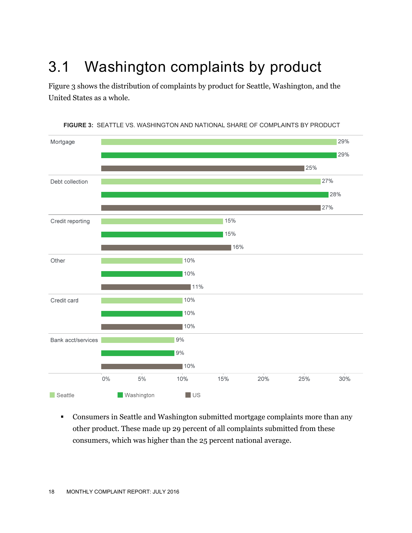## 3.1 Washington complaints by product

Figure 3 shows the distribution of complaints by product for Seattle, Washington, and the United States as a whole.



**FIGURE 3:** SEATTLE VS. WASHINGTON AND NATIONAL SHARE OF COMPLAINTS BY PRODUCT

 Consumers in Seattle and Washington submitted mortgage complaints more than any other product. These made up 29 percent of all complaints submitted from these consumers, which was higher than the 25 percent national average.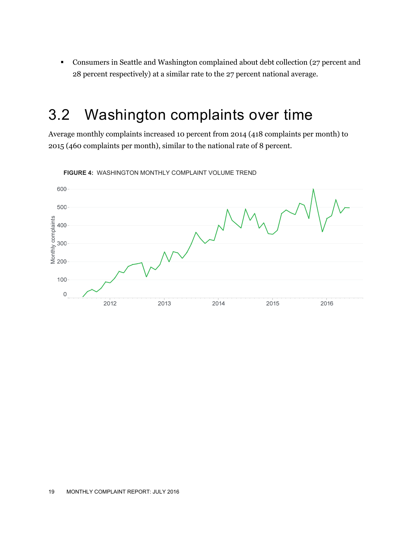Consumers in Seattle and Washington complained about debt collection (27 percent and 28 percent respectively) at a similar rate to the 27 percent national average.

### 3.2 Washington complaints over time

Average monthly complaints increased 10 percent from 2014 (418 complaints per month) to 2015 (460 complaints per month), similar to the national rate of 8 percent.



**FIGURE 4:** WASHINGTON MONTHLY COMPLAINT VOLUME TREND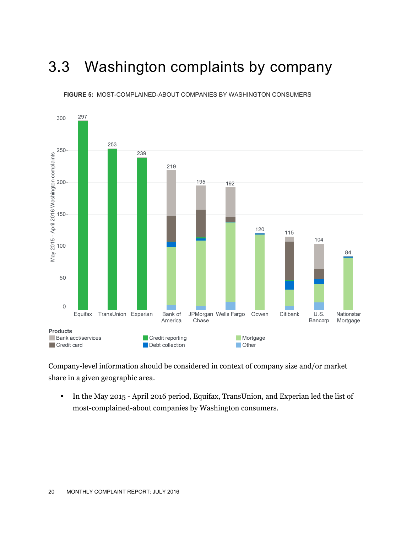### 3.3 Washington complaints by company



**FIGURE 5:** MOST-COMPLAINED-ABOUT COMPANIES BY WASHINGTON CONSUMERS

Company-level information should be considered in context of company size and/or market share in a given geographic area.

In the May 2015 - April 2016 period, Equifax, TransUnion, and Experian led the list of most-complained-about companies by Washington consumers.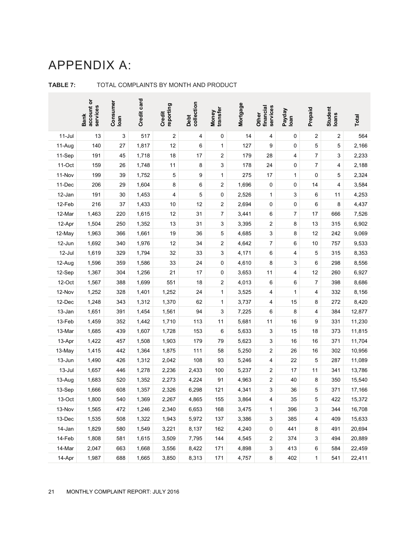### APPENDIX A:

|           | account or<br>services<br><b>Bank</b> | Consumer<br>Ioan | Credit card | Credit<br>reporting     | Debt<br>collection | transfer<br>Money       | Mortgage | financial<br>services<br>Other | Payday<br>Ioan | Prepaid      | Student<br>Ioans | Total  |
|-----------|---------------------------------------|------------------|-------------|-------------------------|--------------------|-------------------------|----------|--------------------------------|----------------|--------------|------------------|--------|
| $11$ -Jul | 13                                    | 3                | 517         | $\overline{\mathbf{c}}$ | 4                  | 0                       | 14       | 4                              | 0              | 2            | 2                | 564    |
| 11-Aug    | 140                                   | 27               | 1,817       | 12                      | 6                  | 1                       | 127      | 9                              | $\pmb{0}$      | 5            | 5                | 2,166  |
| 11-Sep    | 191                                   | 45               | 1,718       | 18                      | 17                 | 2                       | 179      | 28                             | 4              | 7            | 3                | 2,233  |
| 11-Oct    | 159                                   | 26               | 1,748       | 11                      | 8                  | 3                       | 178      | 24                             | 0              | 7            | 4                | 2,188  |
| 11-Nov    | 199                                   | 39               | 1,752       | 5                       | 9                  | 1                       | 275      | 17                             | 1              | 0            | 5                | 2,324  |
| 11-Dec    | 206                                   | 29               | 1,604       | 8                       | 6                  | 2                       | 1,696    | 0                              | 0              | 14           | 4                | 3,584  |
| 12-Jan    | 191                                   | 30               | 1,453       | 4                       | 5                  | 0                       | 2,526    | 1                              | 3              | 6            | 11               | 4,253  |
| 12-Feb    | 216                                   | 37               | 1,433       | $10$                    | 12                 | $\overline{\mathbf{c}}$ | 2,694    | 0                              | 0              | 6            | 8                | 4,437  |
| 12-Mar    | 1,463                                 | 220              | 1,615       | 12                      | 31                 | 7                       | 3,441    | 6                              | 7              | 17           | 666              | 7,526  |
| 12-Apr    | 1,504                                 | 250              | 1,352       | 13                      | 31                 | 3                       | 3,395    | 2                              | 8              | 13           | 315              | 6,902  |
| 12-May    | 1,963                                 | 366              | 1,661       | 19                      | 36                 | 5                       | 4,685    | 3                              | 8              | 12           | 242              | 9,069  |
| 12-Jun    | 1,692                                 | 340              | 1,976       | 12                      | 34                 | 2                       | 4,642    | 7                              | 6              | 10           | 757              | 9,533  |
| 12-Jul    | 1,619                                 | 329              | 1,794       | 32                      | 33                 | 3                       | 4,171    | 6                              | 4              | 5            | 315              | 8,353  |
| 12-Aug    | 1,596                                 | 359              | 1,586       | 33                      | 24                 | 0                       | 4,610    | 8                              | 3              | 6            | 298              | 8,556  |
| 12-Sep    | 1,367                                 | 304              | 1,256       | 21                      | 17                 | 0                       | 3,653    | 11                             | 4              | 12           | 260              | 6,927  |
| 12-Oct    | 1,567                                 | 388              | 1,699       | 551                     | 18                 | $\overline{\mathbf{c}}$ | 4,013    | 6                              | 6              | 7            | 398              | 8,686  |
| 12-Nov    | 1,252                                 | 328              | 1,401       | 1,252                   | 24                 | 1                       | 3,525    | 4                              | 1              | 4            | 332              | 8,156  |
| 12-Dec    | 1,248                                 | 343              | 1,312       | 1,370                   | 62                 | 1                       | 3,737    | 4                              | 15             | 8            | 272              | 8,420  |
| 13-Jan    | 1,651                                 | 391              | 1,454       | 1,561                   | 94                 | 3                       | 7,225    | 6                              | 8              | 4            | 384              | 12,877 |
| 13-Feb    | 1,459                                 | 352              | 1,442       | 1,710                   | 113                | 11                      | 5,681    | 11                             | 16             | 9            | 331              | 11,230 |
| 13-Mar    | 1,685                                 | 439              | 1,607       | 1,728                   | 153                | 6                       | 5,633    | 3                              | 15             | 18           | 373              | 11,815 |
| 13-Apr    | 1,422                                 | 457              | 1,508       | 1,903                   | 179                | 79                      | 5,623    | 3                              | 16             | 16           | 371              | 11,704 |
| 13-May    | 1,415                                 | 442              | 1,364       | 1,875                   | 111                | 58                      | 5,250    | 2                              | 26             | 16           | 302              | 10,956 |
| 13-Jun    | 1,490                                 | 426              | 1,312       | 2,042                   | 108                | 93                      | 5,246    | 4                              | 22             | 5            | 287              | 11,089 |
| 13-Jul    | 1,657                                 | 446              | 1,278       | 2,236                   | 2,433              | 100                     | 5,237    | 2                              | 17             | 11           | 341              | 13,786 |
| 13-Aug    | 1,683                                 | 520              | 1,352       | 2,273                   | 4,224              | 91                      | 4,963    | $\overline{\mathbf{c}}$        | 40             | 8            | 350              | 15,540 |
| 13-Sep    | 1,666                                 | 608              | 1,357       | 2,326                   | 6,298              | 121                     | 4,341    | 3                              | 36             | 5            | 371              | 17,166 |
| 13-Oct    | 1,800                                 | 540              | 1,369       | 2,267                   | 4,865              | 155                     | 3,864    | 4                              | 35             | 5            | 422              | 15,372 |
| 13-Nov    | 1,565                                 | 472              | 1,246       | 2,340                   | 6,653              | 168                     | 3,475    | 1                              | 396            | 3            | 344              | 16,708 |
| 13-Dec    | 1,535                                 | 508              | 1,322       | 1,943                   | 5,972              | 137                     | 3,386    | 3                              | 385            | 4            | 409              | 15,633 |
| 14-Jan    | 1,829                                 | 580              | 1,549       | 3,221                   | 8,137              | 162                     | 4,240    | 0                              | 441            | 8            | 491              | 20,694 |
| 14-Feb    | 1,808                                 | 581              | 1,615       | 3,509                   | 7,795              | 144                     | 4,545    | 2                              | 374            | 3            | 494              | 20,889 |
| 14-Mar    | 2,047                                 | 663              | 1,668       | 3,556                   | 8,422              | 171                     | 4,898    | 3                              | 413            | 6            | 584              | 22,459 |
| 14-Apr    | 1,987                                 | 688              | 1,665       | 3,850                   | 8,313              | 171                     | 4,757    | 8                              | 402            | $\mathbf{1}$ | 541              | 22,411 |

#### **TABLE 7:** TOTAL COMPLAINTS BY MONTH AND PRODUCT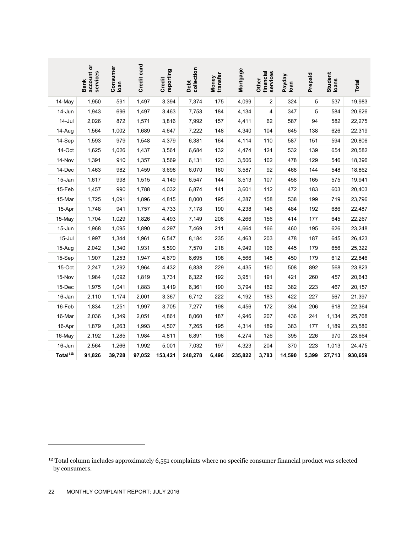|                                                                                                                                                     | account or<br>services<br><b>Bank</b> | Consumer<br>loan | Credit card | reporting<br>Credit | collection<br>Debt | transfer<br>Money | Mortgage | services<br>financial<br>Other | Payday<br>loan | Prepaid | Student<br>loans | Total   |
|-----------------------------------------------------------------------------------------------------------------------------------------------------|---------------------------------------|------------------|-------------|---------------------|--------------------|-------------------|----------|--------------------------------|----------------|---------|------------------|---------|
| 14-May                                                                                                                                              | 1,950                                 | 591              | 1,497       | 3,394               | 7,374              | 175               | 4,099    | $\overline{c}$                 | 324            | 5       | 537              | 19,983  |
| 14-Jun                                                                                                                                              | 1,943                                 | 696              | 1,497       | 3,463               | 7,753              | 184               | 4,134    | 4                              | 347            | 5       | 584              | 20,626  |
| 14-Jul                                                                                                                                              | 2,026                                 | 872              | 1,571       | 3,816               | 7,992              | 157               | 4,411    | 62                             | 587            | 94      | 582              | 22,275  |
| 14-Aug                                                                                                                                              | 1,564                                 | 1,002            | 1,689       | 4,647               | 7,222              | 148               | 4,340    | 104                            | 645            | 138     | 626              | 22,319  |
| 14-Sep                                                                                                                                              | 1,593                                 | 979              | 1,548       | 4,379               | 6,381              | 164               | 4,114    | 110                            | 587            | 151     | 594              | 20,806  |
| 14-Oct                                                                                                                                              | 1,625                                 | 1,026            | 1,437       | 3,561               | 6,684              | 132               | 4,474    | 124                            | 532            | 139     | 654              | 20,582  |
| 14-Nov                                                                                                                                              | 1,391                                 | 910              | 1,357       | 3,569               | 6,131              | 123               | 3,506    | 102                            | 478            | 129     | 546              | 18,396  |
| 14-Dec                                                                                                                                              | 1,463                                 | 982              | 1,459       | 3,698               | 6,070              | 160               | 3,587    | 92                             | 468            | 144     | 548              | 18,862  |
| 15-Jan                                                                                                                                              | 1,617                                 | 998              | 1,515       | 4,149               | 6,547              | 144               | 3,513    | 107                            | 458            | 165     | 575              | 19,941  |
| 15-Feb                                                                                                                                              | 1,457                                 | 990              | 1,788       | 4,032               | 6,874              | 141               | 3,601    | 112                            | 472            | 183     | 603              | 20,403  |
| 15-Mar                                                                                                                                              | 1,725                                 | 1,091            | 1,896       | 4,815               | 8,000              | 195               | 4,287    | 158                            | 538            | 199     | 719              | 23,796  |
| 15-Apr                                                                                                                                              | 1,748                                 | 941              | 1,757       | 4,733               | 7,178              | 190               | 4,238    | 146                            | 484            | 192     | 686              | 22,487  |
| 15-May                                                                                                                                              | 1,704                                 | 1,029            | 1,826       | 4,493               | 7,149              | 208               | 4,266    | 156                            | 414            | 177     | 645              | 22,267  |
| 15-Jun                                                                                                                                              | 1,968                                 | 1,095            | 1,890       | 4,297               | 7,469              | 211               | 4,664    | 166                            | 460            | 195     | 626              | 23,248  |
| 15-Jul                                                                                                                                              | 1,997                                 | 1,344            | 1,961       | 6,547               | 8,184              | 235               | 4,463    | 203                            | 478            | 187     | 645              | 26,423  |
| 15-Aug                                                                                                                                              | 2,042                                 | 1,340            | 1,931       | 5,590               | 7,570              | 218               | 4,949    | 196                            | 445            | 179     | 656              | 25,322  |
| 15-Sep                                                                                                                                              | 1,907                                 | 1,253            | 1,947       | 4,679               | 6,695              | 198               | 4,566    | 148                            | 450            | 179     | 612              | 22,846  |
| 15-Oct                                                                                                                                              | 2,247                                 | 1,292            | 1,964       | 4,432               | 6,838              | 229               | 4,435    | 160                            | 508            | 892     | 568              | 23,823  |
| 15-Nov                                                                                                                                              | 1,984                                 | 1,092            | 1,819       | 3,731               | 6,322              | 192               | 3,951    | 191                            | 421            | 260     | 457              | 20,643  |
| 15-Dec                                                                                                                                              | 1,975                                 | 1,041            | 1,883       | 3,419               | 6,361              | 190               | 3,794    | 162                            | 382            | 223     | 467              | 20,157  |
| 16-Jan                                                                                                                                              | 2,110                                 | 1,174            | 2,001       | 3,367               | 6,712              | 222               | 4,192    | 183                            | 422            | 227     | 567              | 21,397  |
| 16-Feb                                                                                                                                              | 1,834                                 | 1,251            | 1,997       | 3,705               | 7,277              | 198               | 4,456    | 172                            | 394            | 206     | 618              | 22,364  |
| 16-Mar                                                                                                                                              | 2,036                                 | 1,349            | 2,051       | 4,861               | 8,060              | 187               | 4,946    | 207                            | 436            | 241     | 1,134            | 25,768  |
| 16-Apr                                                                                                                                              | 1,879                                 | 1,263            | 1,993       | 4,507               | 7,265              | 195               | 4,314    | 189                            | 383            | 177     | 1,189            | 23,580  |
| 16-May                                                                                                                                              | 2,192                                 | 1,285            | 1,984       | 4,811               | 6,891              | 198               | 4,274    | 126                            | 395            | 226     | 970              | 23,664  |
| 16-Jun                                                                                                                                              | 2,564                                 | 1,266            | 1,992       | 5,001               | 7,032              | 197               | 4,323    | 204                            | 370            | 223     | 1,013            | 24,475  |
| Total <sup>12</sup>                                                                                                                                 | 91,826                                | 39,728           | 97,052      | 153,421             | 248,278            | 6,496             | 235,822  | 3,783                          | 14,590         | 5,399   | 27,713           | 930,659 |
|                                                                                                                                                     |                                       |                  |             |                     |                    |                   |          |                                |                |         |                  |         |
| <sup>12</sup> Total column includes approximately 6,551 complaints where no specific consumer financial product was selected<br>by consumers.<br>22 | MONTHLY COMPLAINT REPORT: JULY 2016   |                  |             |                     |                    |                   |          |                                |                |         |                  |         |

<sup>&</sup>lt;sup>12</sup> Total column includes approximately 6,551 complaints where no specific consumer financial product was selected by consumers.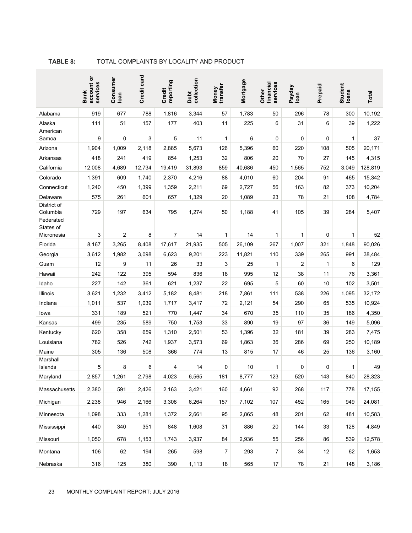|                                    | account or<br>services<br><b>Bank</b> | Consumer<br>Ioan | Credit card    | reporting<br>Credit | collection<br>Debt | transfer<br>Money | Mortgage         | financial<br>services<br>Other | Payday<br>Ioan | Prepaid  | Student<br>loans | <b>Total</b>     |
|------------------------------------|---------------------------------------|------------------|----------------|---------------------|--------------------|-------------------|------------------|--------------------------------|----------------|----------|------------------|------------------|
| Alabama                            | 919                                   | 677              | 788            | 1,816               | 3,344              | 57                | 1,783            | 50                             | 296            | 78       | 300              | 10,192           |
| Alaska                             | 111                                   | 51               | 157            | 177                 | 403                | 11                | 225              | 6                              | 31             | 6        | 39               | 1,222            |
| American                           |                                       |                  |                |                     |                    |                   |                  |                                |                |          |                  |                  |
| Samoa<br>Arizona                   | 9<br>1,904                            | 0<br>1,009       | 3<br>2,118     | 5<br>2,885          | 11<br>5.673        | 1<br>126          | 6<br>5,396       | 0<br>60                        | 0<br>220       | 0<br>108 | 1<br>505         | 37<br>20.171     |
| Arkansas                           | 418                                   | 241              | 419            | 854                 | 1,253              | 32                | 806              | 20                             | 70             | 27       | 145              | 4,315            |
| California                         | 12,008                                | 4,689            | 12,734         | 19,419              | 31,893             | 859               | 40,686           | 450                            | 1,565          | 752      | 3,049            | 128,819          |
| Colorado                           | 1,391                                 | 609              | 1,740          | 2,370               | 4,216              | 88                | 4,010            | 60                             | 204            | 91       | 465              | 15,342           |
| Connecticut                        | 1,240                                 | 450              | 1,399          | 1,359               | 2,211              | 69                | 2,727            | 56                             | 163            | 82       | 373              | 10,204           |
| Delaware                           | 575                                   | 261              | 601            | 657                 | 1,329              | 20                | 1,089            | 23                             | 78             | 21       | 108              | 4,784            |
| District of                        |                                       |                  |                |                     |                    |                   |                  |                                |                |          |                  |                  |
| Columbia<br>Federated<br>States of | 729                                   | 197<br>2         | 634            | 795                 | 1,274<br>14        | 50                | 1,188            | 41                             | 105            | 39       | 284              | 5,407            |
| Micronesia<br>Florida              | 3                                     |                  | 8              | 7<br>17,617         |                    | 1                 | 14               | 1<br>267                       | 1              | 0<br>321 | 1                | 52               |
| Georgia                            | 8,167<br>3,612                        | 3,265<br>1,982   | 8,408<br>3,098 | 6,623               | 21,935<br>9,201    | 505<br>223        | 26,109<br>11,821 | 110                            | 1,007<br>339   | 265      | 1,848<br>991     | 90,026<br>38,484 |
| Guam                               | 12                                    | 9                | 11             | 26                  | 33                 | 3                 | 25               | 1                              | $\overline{c}$ | 1        | 6                | 129              |
| Hawaii                             | 242                                   | 122              | 395            | 594                 | 836                | 18                | 995              | 12                             | 38             | 11       | 76               | 3,361            |
| Idaho                              | 227                                   | 142              | 361            | 621                 | 1,237              | 22                | 695              | 5                              | 60             | 10       | 102              | 3,501            |
| Illinois                           | 3,621                                 | 1,232            | 3,412          | 5,182               | 8,481              | 218               | 7,861            | 111                            | 538            | 226      | 1,095            | 32,172           |
| Indiana                            | 1,011                                 | 537              | 1,039          | 1,717               | 3,417              | 72                | 2,121            | 54                             | 290            | 65       | 535              | 10,924           |
| lowa                               | 331                                   | 189              | 521            | 770                 | 1,447              | 34                | 670              | 35                             | 110            | 35       | 186              | 4,350            |
| Kansas                             | 499                                   | 235              | 589            | 750                 | 1,753              | 33                | 890              | 19                             | 97             | 36       | 149              | 5,096            |
| Kentucky                           | 620                                   | 358              | 659            | 1,310               | 2,501              | 53                | 1,396            | 32                             | 181            | 39       | 283              | 7,475            |
| Louisiana                          | 782                                   | 526              | 742            | 1,937               | 3,573              | 69                | 1,863            | 36                             | 286            | 69       | 250              | 10,189           |
| Maine                              | 305                                   | 136              | 508            | 366                 | 774                | 13                | 815              | 17                             | 46             | 25       | 136              | 3,160            |
| Marshall<br>Islands                | 5                                     | 8                | 6              | 4                   | 14                 | $\mathbf 0$       | 10               | 1                              | 0              | 0        | 1                | 49               |
| Maryland                           | 2,857                                 | 1,261            | 2,798          | 4,023               | 6,565              | 181               | 8,777            | 123                            | 520            | 143      | 840              | 28,323           |
| Massachusetts                      | 2,380                                 | 591              | 2,426          | 2,163               | 3,421              | 160               | 4,661            | 92                             | 268            | 117      | 778              | 17,155           |
| Michigan                           | 2,238                                 | 946              | 2,166          | 3,308               | 6,264              | 157               | 7,102            | 107                            | 452            | 165      | 949              | 24,081           |
| Minnesota                          | 1,098                                 | 333              | 1,281          | 1,372               | 2,661              | 95                | 2,865            | 48                             | 201            | 62       | 481              | 10,583           |
| Mississippi                        | 440                                   | 340              | 351            | 848                 | 1,608              | 31                | 886              | 20                             | 144            | 33       | 128              | 4,849            |
| Missouri                           | 1,050                                 | 678              | 1,153          | 1,743               | 3,937              | 84                | 2,936            | 55                             | 256            | 86       | 539              | 12,578           |
| Montana                            | 106                                   | 62               | 194            | 265                 | 598                | 7                 | 293              | 7                              | 34             | 12       | 62               | 1,653            |
| Nebraska                           | 316                                   | 125              | 380            | 390                 | 1,113              | 18                | 565              | $17\,$                         | 78             | 21       | 148              | 3,186            |

#### **TABLE 8:** TOTAL COMPLAINTS BY LOCALITY AND PRODUCT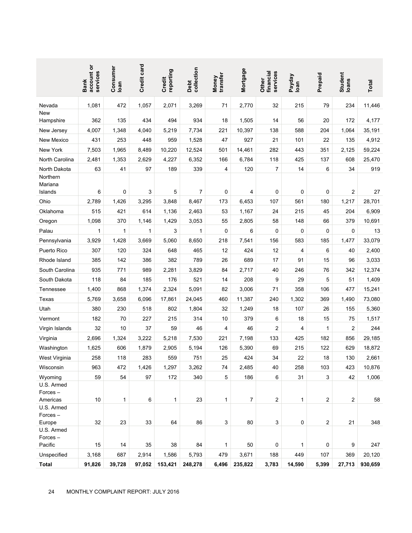|                                  | account or<br>services<br><b>Bank</b>         | Consumer<br>loan | Credit card  | reporting<br>Credit | Debt<br>collection | Money<br>transfer | Mortgage        | financial<br>services<br>Other | Payday<br>Ioan | Prepaid        | Student<br>Ioans        | Total           |
|----------------------------------|-----------------------------------------------|------------------|--------------|---------------------|--------------------|-------------------|-----------------|--------------------------------|----------------|----------------|-------------------------|-----------------|
| Nevada                           | 1,081                                         | 472              | 1,057        | 2,071               | 3,269              | 71                | 2,770           | 32                             | 215            | 79             | 234                     | 11,446          |
| New                              |                                               |                  |              |                     |                    |                   |                 |                                |                |                |                         |                 |
| Hampshire<br>New Jersey          | 362<br>4,007                                  | 135<br>1,348     | 434<br>4,040 | 494<br>5,219        | 934<br>7,734       | 18<br>221         | 1,505<br>10,397 | 14<br>138                      | 56<br>588      | 20<br>204      | 172<br>1,064            | 4,177<br>35,191 |
| New Mexico                       | 431                                           | 253              | 448          | 959                 | 1,528              | 47                | 927             | 21                             | 101            | 22             | 135                     | 4,912           |
| New York                         | 7,503                                         | 1,965            | 8,489        | 10,220              | 12,524             | 501               | 14,461          | 282                            | 443            | 351            | 2,125                   | 59,224          |
| North Carolina                   | 2,481                                         | 1,353            | 2,629        | 4,227               | 6,352              | 166               | 6,784           | 118                            | 425            | 137            | 608                     | 25,470          |
| North Dakota                     | 63                                            | 41               | 97           | 189                 | 339                | 4                 | 120             | 7                              | 14             | 6              | 34                      | 919             |
| Northern<br>Mariana              |                                               |                  |              |                     |                    |                   |                 |                                |                |                |                         |                 |
| Islands                          | 6                                             | 0                | 3            | 5                   | $\overline{7}$     | 0                 | 4               | 0                              | 0              | 0              | $\overline{\mathbf{c}}$ | 27              |
| Ohio                             | 2,789                                         | 1,426            | 3,295        | 3,848               | 8,467              | 173               | 6,453           | 107                            | 561            | 180            | 1,217                   | 28,701          |
| Oklahoma                         | 515                                           | 421              | 614          | 1,136               | 2,463              | 53                | 1,167           | 24                             | 215            | 45             | 204                     | 6,909           |
| Oregon                           | 1,098                                         | 370              | 1,146        | 1,429               | 3,053              | 55                | 2,805           | 58                             | 148            | 66             | 379                     | 10,691          |
| Palau                            | 1                                             | 1                | 1            | 3                   | 1                  | 0                 | 6               | 0                              | 0              | 0              | 0                       | 13              |
| Pennsylvania                     | 3,929                                         | 1,428            | 3,669        | 5,060               | 8,650              | 218               | 7,541           | 156                            | 583            | 185            | 1,477                   | 33,079          |
| Puerto Rico                      | 307                                           | 120              | 324          | 648                 | 465                | 12                | 424             | 12                             | 4              | 6              | 40                      | 2,400           |
| Rhode Island                     | 385                                           | 142              | 386          | 382                 | 789                | 26                | 689             | 17                             | 91             | 15             | 96                      | 3,033           |
| South Carolina                   | 935                                           | 771              | 989          | 2,281               | 3,829              | 84                | 2,717           | 40                             | 246            | 76             | 342                     | 12,374          |
| South Dakota                     | 118                                           | 84               | 185          | 176                 | 521                | 14                | 208             | 9                              | 29             | 5              | 51                      | 1,409           |
| Tennessee                        | 1,400                                         | 868              | 1,374        | 2,324               | 5,091              | 82                | 3,006           | 71                             | 358            | 106            | 477                     | 15,241          |
| Texas                            | 5,769                                         | 3,658            | 6,096        | 17,861              | 24,045             | 460               | 11,387          | 240                            | 1,302          | 369            | 1,490                   | 73,080          |
| Utah                             | 380                                           | 230              | 518          | 802                 | 1,804              | 32                | 1,249           | 18                             | 107            | 26             | 155                     | 5,360           |
| Vermont                          | 182                                           | 70               | 227          | 215                 | 314                | 10                | 379             | 6                              | 18             | 15             | 75                      | 1,517           |
| Virgin Islands                   | 32                                            | 10               | 37           | 59                  | 46                 | 4                 | 46              | 2                              | 4              | 1              | $\overline{\mathbf{c}}$ | 244             |
| Virginia                         | 2,696                                         | 1,324            | 3,222        | 5,218               | 7,530              | 221               | 7,198           | 133                            | 425            | 182            | 856                     | 29,185          |
| Washington                       | 1,625                                         | 606              | 1,879        | 2,905               | 5,194              | 126               | 5,390           | 69                             | 215            | 122            | 629                     | 18,872          |
| West Virginia                    | 258                                           | 118              | 283          | 559                 | 751                | 25                | 424             | 34                             | 22             | 18             | 130                     | 2,661           |
| Wisconsin                        | 963                                           | 472              | 1,426        | 1,297               | 3,262              | 74                | 2,485           | 40                             | 258            | 103            | 423                     | 10,876          |
| Wyoming<br>U.S. Armed<br>Forces- | 59                                            | 54               | 97           | 172                 | 340                | 5                 | 186             | 6                              | 31             | 3              | 42                      | 1,006           |
| Americas                         | 10                                            | 1                | 6            | 1                   | 23                 | 1                 | 7               | 2                              | 1              | $\overline{c}$ | $\overline{\mathbf{c}}$ | 58              |
| U.S. Armed<br>Forces-<br>Europe  | 32                                            | 23               | 33           | 64                  | 86                 | 3                 | 80              | 3                              | 0              | $\overline{c}$ | 21                      | 348             |
| U.S. Armed<br>Forces-            |                                               |                  |              |                     |                    |                   |                 |                                |                |                |                         |                 |
| Pacific                          | 15                                            | 14               | 35           | 38                  | 84                 | 1                 | 50              | 0                              | 1              | $\mathbf 0$    | 9                       | 247             |
| Unspecified                      | 3,168                                         | 687              | 2,914        | 1,586               | 5,793              | 479               | 3,671           | 188                            | 449            | 107            | 369                     | 20,120          |
| <b>Total</b><br>24               | 91,826<br>MONTHLY COMPLAINT REPORT: JULY 2016 | 39,728           | 97,052       | 153,421             | 248,278            | 6,496             | 235,822         | 3,783                          | 14,590         | 5,399          | 27,713                  | 930,659         |